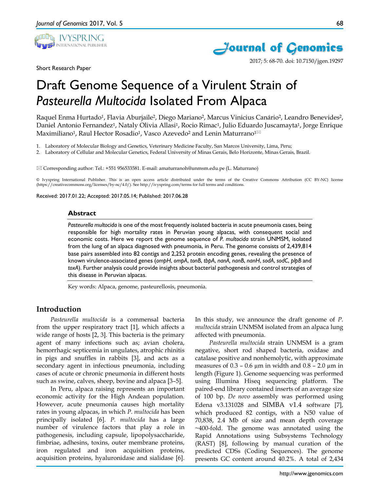



2017; 5: 68-70. doi: 10.7150/jgen.19297

Short Research Paper

# Draft Genome Sequence of a Virulent Strain of *Pasteurella Multocida* Isolated From Alpaca

Raquel Enma Hurtado<sup>1</sup>, Flavia Aburjaile<sup>2</sup>, Diego Mariano<sup>2</sup>, Marcus Vinicius Canário<sup>2</sup>, Leandro Benevides<sup>2</sup>, Daniel Antonio Fernandez<sup>1</sup>, Nataly Olivia Allasi<sup>1</sup>, Rocio Rimac<sup>1</sup>, Julio Eduardo Juscamayta<sup>1</sup>, Jorge Enrique Maximiliano<sup>1</sup>, Raul Hector Rosadio<sup>1</sup>, Vasco Azevedo<sup>2</sup> and Lenin Maturrano<sup>1⊠</sup>

1. Laboratory of Molecular Biology and Genetics, Veterinary Medicine Faculty, San Marcos University, Lima, Peru;

2. Laboratory of Cellular and Molecular Genetics, Federal University of Minas Gerais, Belo Horizonte, Minas Gerais, Brazil.

 $\boxtimes$  Corresponding author: Tel.: +551 956533581. E-mail: amaturranoh@unmsm.edu.pe (L. Maturrano)

© Ivyspring International Publisher. This is an open access article distributed under the terms of the Creative Commons Attribution (CC BY-NC) license (https://creativecommons.org/licenses/by-nc/4.0/). See http://ivyspring.com/terms for full terms and conditions.

Received: 2017.01.22; Accepted: 2017.05.14; Published: 2017.06.28

#### **Abstract**

*Pasteurella multocida* is one of the most frequently isolated bacteria in acute pneumonia cases, being responsible for high mortality rates in Peruvian young alpacas, with consequent social and economic costs. Here we report the genome sequence of *P. multocida* strain UNMSM, isolated from the lung of an alpaca diagnosed with pneumonia, in Peru. The genome consists of 2,439,814 base pairs assembled into 82 contigs and 2,252 protein encoding genes, revealing the presence of known virulence-associated genes (*ompH*, *ompA*, *tonB*, *tbpA*, *nanA, nanB*, *nanH*, *sodA*, *sodC*, *plpB* and *toxA*). Further analysis could provide insights about bacterial pathogenesis and control strategies of this disease in Peruvian alpacas.

Key words: Alpaca, genome, pasteurellosis, pneumonia.

## **Introduction**

*Pasteurella multocida* is a commensal bacteria from the upper respiratory tract [1], which affects a wide range of hosts [2, 3]. This bacteria is the primary agent of many infections such as; avian cholera, hemorrhagic septicemia in ungulates, atrophic rhinitis in pigs and snuffles in rabbits [3], and acts as a secondary agent in infectious pneumonia, including cases of acute or chronic pneumonia in different hosts such as swine, calves, sheep, bovine and alpaca [3–5].

In Peru, alpaca raising represents an important economic activity for the High Andean population. However, acute pneumonia causes high mortality rates in young alpacas, in which *P. multocida* has been principally isolated [6]. *P. multocida* has a large number of virulence factors that play a role in pathogenesis, including capsule, lipopolysaccharide, fimbriae, adhesins, toxins, outer membrane proteins, iron regulated and iron acquisition proteins, acquisition proteins, hyaluronidase and sialidase [6].

In this study, we announce the draft genome of *P. multocida* strain UNMSM isolated from an alpaca lung affected with pneumonia.

*Pasteurella multocida* strain UNMSM is a gram negative, short rod shaped bacteria, oxidase and catalase positive and nonhemolytic, with approximate measures of  $0.3 - 0.6 \mu m$  in width and  $0.8 - 2.0 \mu m$  in length (Figure 1). Genome sequencing was performed using Illumina Hiseq sequencing platform. The paired-end library contained inserts of an average size of 100 bp. *De novo* assembly was performed using Edena v3.131028 and SIMBA v1.4 software [7], which produced 82 contigs, with a N50 value of 70,838, 2.4 Mb of size and mean depth coverage ~400-fold. The genome was annotated using the Rapid Annotations using Subsystems Technology (RAST) [8], following by manual curation of the predicted CDSs (Coding Sequences). The genome presents GC content around 40.2%. A total of 2,434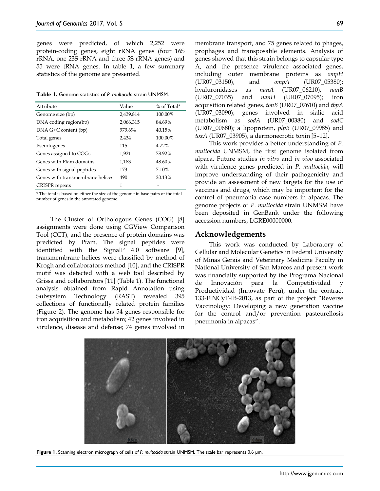genes were predicted, of which 2,252 were protein-coding genes, eight rRNA genes (four 16S rRNA, one 23S rRNA and three 5S rRNA genes) and 55 were tRNA genes. In table 1, a few summary statistics of the genome are presented.

**Table 1.** Genome statistics of *P. multocida* strain UNMSM.

| Attribute                        | Value     | % of Total* |
|----------------------------------|-----------|-------------|
| Genome size (bp)                 | 2,439,814 | 100.00%     |
| DNA coding region(bp)            | 2,066,315 | 84.69%      |
| $DNA G+C content (bp)$           | 979,694   | 40.15%      |
| Total genes                      | 2,434     | 100.00%     |
| Pseudogenes                      | 115       | 4.72%       |
| Genes assigned to COGs           | 1,921     | 78.92%      |
| Genes with Pfam domains          | 1,183     | 48.60%      |
| Genes with signal peptides       | 173       | 7.10%       |
| Genes with transmembrane helices | 490       | 20.13%      |
| <b>CRISPR</b> repeats            | 1         |             |

\* The total is based on either the size of the genome in base pairs or the total number of genes in the annotated genome.

The Cluster of Orthologous Genes (COG) [8] assignments were done using CGView Comparison Tool (CCT), and the presence of protein domains was predicted by Pfam. The signal peptides were identified with the SignalP 4.0 software [9], transmembrane helices were classified by method of Krogh and collaborators method [10], and the CRISPR motif was detected with a web tool described by Grissa and collaborators [11] (Table 1). The functional analysis obtained from Rapid Annotation using Subsystem Technology (RAST) revealed 395 collections of functionally related protein families (Figure 2). The genome has 54 genes responsible for iron acquisition and metabolism; 42 genes involved in virulence, disease and defense; 74 genes involved in

membrane transport, and 75 genes related to phages, prophages and transposable elements. Analysis of genes showed that this strain belongs to capsular type A, and the presence virulence associated genes, including outer membrane proteins as *ompH* (UR07\_03150), and *ompA* (UR07\_05380); hyaluronidases as *nanA* (UR07\_06210), *nanB*  (UR07\_07035) and *nanH* (UR07\_07095); iron acquisition related genes*, tonB* (UR07\_07610) and *tbpA*  (UR07\_03090); genes involved in sialic acid metabolism as *sodA* (UR07\_00380) and *sodC*  (UR07\_00680); a lipoprotein, *plpB* (UR07\_09985) and *toxA* (UR07\_03905), a dermonecrotic toxin [5–12].

This work provides a better understanding of *P. multocida* UNMSM, the first genome isolated from alpaca. Future studies *in vitro* and *in vivo* associated with virulence genes predicted in *P. multocida*, will improve understanding of their pathogenicity and provide an assessment of new targets for the use of vaccines and drugs, which may be important for the control of pneumonia case numbers in alpacas. The genome projects of *P. multocida* strain UNMSM have been deposited in GenBank under the following accession numbers, LGRE00000000.

#### **Acknowledgements**

This work was conducted by Laboratory of Cellular and Molecular Genetics in Federal University of Minas Gerais and Veterinary Medicine Faculty in National University of San Marcos and present work was financially supported by the Programa Nacional de Innovación para la Competitividad y Productividad (Innóvate Perú), under the contract 133-FINCyT-IB-2013, as part of the project "Reverse Vaccinology: Developing a new generation vaccine for the control and/or prevention pasteurellosis pneumonia in alpacas".



**Figure 1.** Scanning electron micrograph of cells of *P. multocida* strain UNMSM. The scale bar represents 0.6 µm.